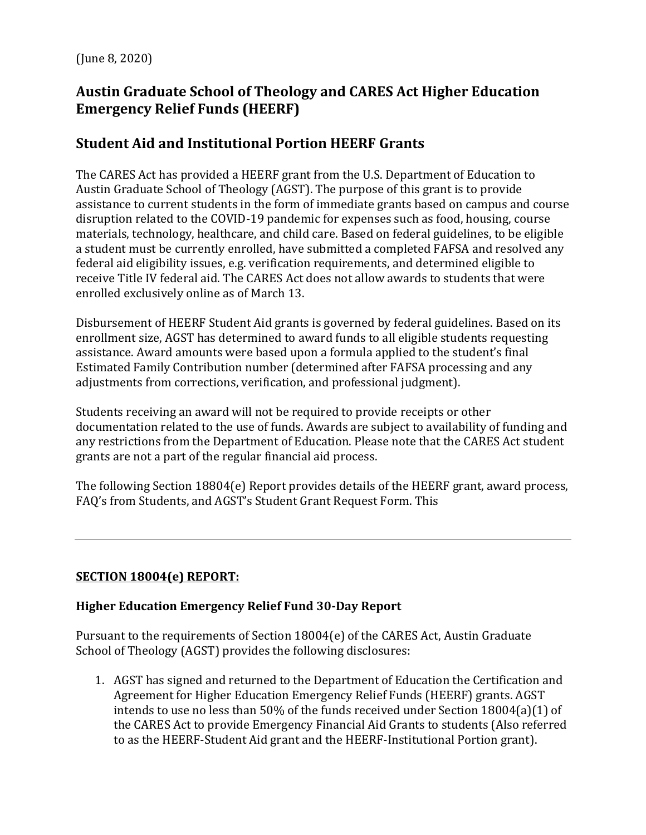(June 8, 2020)

# **Austin Graduate School of Theology and CARES Act Higher Education Emergency Relief Funds (HEERF)**

# **Student Aid and Institutional Portion HEERF Grants**

The CARES Act has provided a HEERF grant from the U.S. Department of Education to Austin Graduate School of Theology (AGST). The purpose of this grant is to provide assistance to current students in the form of immediate grants based on campus and course disruption related to the COVID-19 pandemic for expenses such as food, housing, course materials, technology, healthcare, and child care. Based on federal guidelines, to be eligible a student must be currently enrolled, have submitted a completed FAFSA and resolved any federal aid eligibility issues, e.g. verification requirements, and determined eligible to receive Title IV federal aid. The CARES Act does not allow awards to students that were enrolled exclusively online as of March 13.

Disbursement of HEERF Student Aid grants is governed by federal guidelines. Based on its enrollment size, AGST has determined to award funds to all eligible students requesting assistance. Award amounts were based upon a formula applied to the student's final Estimated Family Contribution number (determined after FAFSA processing and any adjustments from corrections, verification, and professional judgment).

Students receiving an award will not be required to provide receipts or other documentation related to the use of funds. Awards are subject to availability of funding and any restrictions from the Department of Education. Please note that the CARES Act student grants are not a part of the regular financial aid process.

The following Section 18804(e) Report provides details of the HEERF grant, award process, FAQ's from Students, and AGST's Student Grant Request Form. This

# **SECTION 18004(e) REPORT:**

# **Higher Education Emergency Relief Fund 30-Day Report**

Pursuant to the requirements of Section 18004(e) of the CARES Act, Austin Graduate School of Theology (AGST) provides the following disclosures:

1. AGST has signed and returned to the Department of Education the Certification and Agreement for Higher Education Emergency Relief Funds (HEERF) grants. AGST intends to use no less than 50% of the funds received under Section 18004(a)(1) of the CARES Act to provide Emergency Financial Aid Grants to students (Also referred to as the HEERF-Student Aid grant and the HEERF-Institutional Portion grant).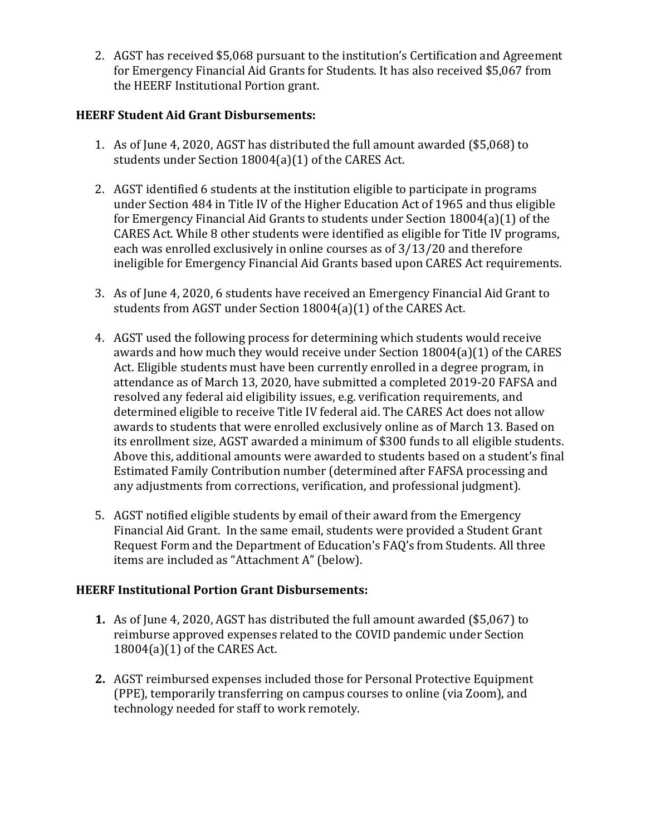2. AGST has received \$5,068 pursuant to the institution's Certification and Agreement for Emergency Financial Aid Grants for Students. It has also received \$5,067 from the HEERF Institutional Portion grant.

## **HEERF Student Aid Grant Disbursements:**

- 1. As of June 4, 2020, AGST has distributed the full amount awarded (\$5,068) to students under Section 18004(a)(1) of the CARES Act.
- 2. AGST identified 6 students at the institution eligible to participate in programs under Section 484 in Title IV of the Higher Education Act of 1965 and thus eligible for Emergency Financial Aid Grants to students under Section 18004(a)(1) of the CARES Act. While 8 other students were identified as eligible for Title IV programs, each was enrolled exclusively in online courses as of 3/13/20 and therefore ineligible for Emergency Financial Aid Grants based upon CARES Act requirements.
- 3. As of June 4, 2020, 6 students have received an Emergency Financial Aid Grant to students from AGST under Section 18004(a)(1) of the CARES Act.
- 4. AGST used the following process for determining which students would receive awards and how much they would receive under Section 18004(a)(1) of the CARES Act. Eligible students must have been currently enrolled in a degree program, in attendance as of March 13, 2020, have submitted a completed 2019-20 FAFSA and resolved any federal aid eligibility issues, e.g. verification requirements, and determined eligible to receive Title IV federal aid. The CARES Act does not allow awards to students that were enrolled exclusively online as of March 13. Based on its enrollment size, AGST awarded a minimum of \$300 funds to all eligible students. Above this, additional amounts were awarded to students based on a student's final Estimated Family Contribution number (determined after FAFSA processing and any adjustments from corrections, verification, and professional judgment).
- 5. AGST notified eligible students by email of their award from the Emergency Financial Aid Grant. In the same email, students were provided a Student Grant Request Form and the Department of Education's FAQ's from Students. All three items are included as "Attachment A" (below).

#### **HEERF Institutional Portion Grant Disbursements:**

- **1.** As of June 4, 2020, AGST has distributed the full amount awarded (\$5,067) to reimburse approved expenses related to the COVID pandemic under Section 18004(a)(1) of the CARES Act.
- **2.** AGST reimbursed expenses included those for Personal Protective Equipment (PPE), temporarily transferring on campus courses to online (via Zoom), and technology needed for staff to work remotely.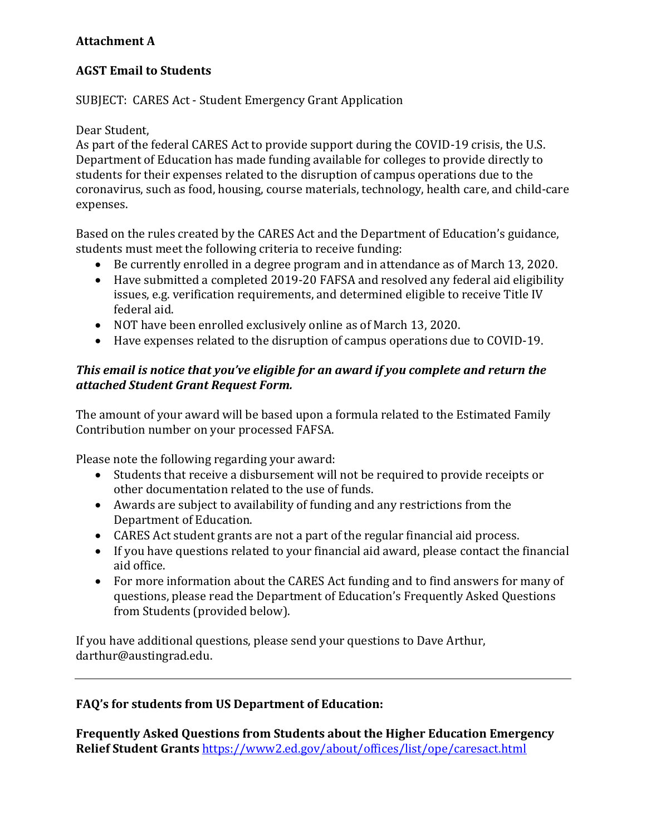## **Attachment A**

## **AGST Email to Students**

### SUBJECT: CARES Act - Student Emergency Grant Application

#### Dear Student,

As part of the federal CARES Act to provide support during the COVID-19 crisis, the U.S. Department of Education has made funding available for colleges to provide directly to students for their expenses related to the disruption of campus operations due to the coronavirus, such as food, housing, course materials, technology, health care, and child-care expenses.

Based on the rules created by the CARES Act and the Department of Education's guidance, students must meet the following criteria to receive funding:

- Be currently enrolled in a degree program and in attendance as of March 13, 2020.
- Have submitted a completed 2019-20 FAFSA and resolved any federal aid eligibility issues, e.g. verification requirements, and determined eligible to receive Title IV federal aid.
- NOT have been enrolled exclusively online as of March 13, 2020.
- Have expenses related to the disruption of campus operations due to COVID-19.

### *This email is notice that you've eligible for an award if you complete and return the attached Student Grant Request Form.*

The amount of your award will be based upon a formula related to the Estimated Family Contribution number on your processed FAFSA.

Please note the following regarding your award:

- Students that receive a disbursement will not be required to provide receipts or other documentation related to the use of funds.
- Awards are subject to availability of funding and any restrictions from the Department of Education.
- CARES Act student grants are not a part of the regular financial aid process.
- If you have questions related to your financial aid award, please contact the financial aid office.
- For more information about the CARES Act funding and to find answers for many of questions, please read the Department of Education's Frequently Asked Questions from Students (provided below).

If you have additional questions, please send your questions to Dave Arthur, [darthur@austingrad.edu.](mailto:darthur@austingrad.edu)

#### **FAQ's for students from US Department of Education:**

**Frequently Asked Questions from Students about the Higher Education Emergency Relief Student Grants** <https://www2.ed.gov/about/offices/list/ope/caresact.html>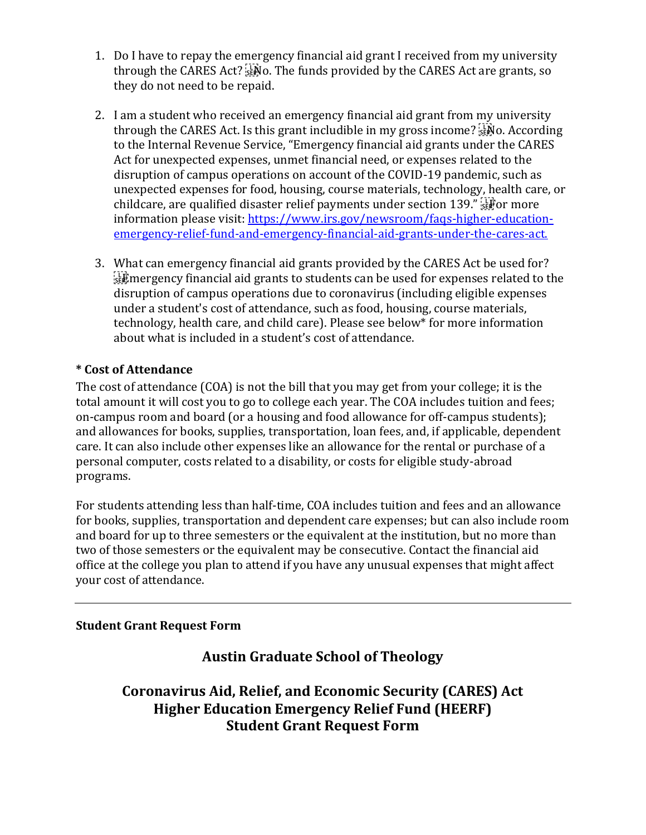- 1. Do I have to repay the emergency financial aid grant I received from my university through the CARES Act?  $\frac{17}{355}$ No. The funds provided by the CARES Act are grants, so they do not need to be repaid.
- 2. I am a student who received an emergency financial aid grant from my university through the CARES Act. Is this grant includible in my gross income?  $\frac{1}{150}$  According to the Internal Revenue Service, "Emergency financial aid grants under the CARES Act for unexpected expenses, unmet financial need, or expenses related to the disruption of campus operations on account of the COVID-19 pandemic, such as unexpected expenses for food, housing, course materials, technology, health care, or childcare, are qualified disaster relief payments under section 139."  $\mathbb{F}^7$  for more information please visit: [https://www.irs.gov/newsroom/faqs-higher-education](https://www.irs.gov/newsroom/faqs-higher-education-%20emergency-relief-fund-and-emergency-financial-aid-grants-under-the-cares-act.)[emergency-relief-fund-and-emergency-financial-aid-grants-under-the-cares-act.](https://www.irs.gov/newsroom/faqs-higher-education-%20emergency-relief-fund-and-emergency-financial-aid-grants-under-the-cares-act.)
- 3. What can emergency financial aid grants provided by the CARES Act be used for?  $E_{\text{SE}}^{\text{TE}}$  mergency financial aid grants to students can be used for expenses related to the disruption of campus operations due to coronavirus (including eligible expenses under a student's cost of attendance, such as food, housing, course materials, technology, health care, and child care). Please see below\* for more information about what is included in a student's cost of attendance.

# **\* Cost of Attendance**

The cost of attendance (COA) is not the bill that you may get from your college; it is the total amount it will cost you to go to college each year. The COA includes tuition and fees; on-campus room and board (or a housing and food allowance for off-campus students); and allowances for books, supplies, transportation, loan fees, and, if applicable, dependent care. It can also include other expenses like an allowance for the rental or purchase of a personal computer, costs related to a disability, or costs for eligible study-abroad programs.

For students attending less than half-time, COA includes tuition and fees and an allowance for books, supplies, transportation and dependent care expenses; but can also include room and board for up to three semesters or the equivalent at the institution, but no more than two of those semesters or the equivalent may be consecutive. Contact the financial aid office at the college you plan to attend if you have any unusual expenses that might affect your cost of attendance.

#### **Student Grant Request Form**

# **Austin Graduate School of Theology**

**Coronavirus Aid, Relief, and Economic Security (CARES) Act Higher Education Emergency Relief Fund (HEERF) Student Grant Request Form**